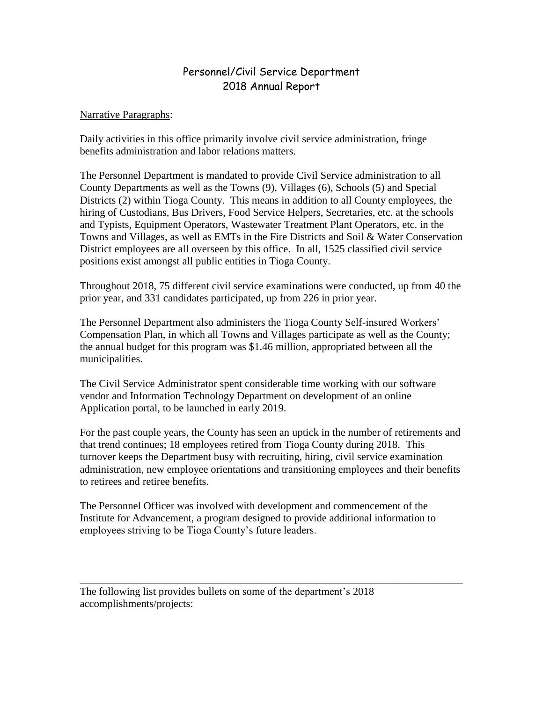## Personnel/Civil Service Department 2018 Annual Report

## Narrative Paragraphs:

Daily activities in this office primarily involve civil service administration, fringe benefits administration and labor relations matters.

The Personnel Department is mandated to provide Civil Service administration to all County Departments as well as the Towns (9), Villages (6), Schools (5) and Special Districts (2) within Tioga County. This means in addition to all County employees, the hiring of Custodians, Bus Drivers, Food Service Helpers, Secretaries, etc. at the schools and Typists, Equipment Operators, Wastewater Treatment Plant Operators, etc. in the Towns and Villages, as well as EMTs in the Fire Districts and Soil & Water Conservation District employees are all overseen by this office. In all, 1525 classified civil service positions exist amongst all public entities in Tioga County.

Throughout 2018, 75 different civil service examinations were conducted, up from 40 the prior year, and 331 candidates participated, up from 226 in prior year.

The Personnel Department also administers the Tioga County Self-insured Workers' Compensation Plan, in which all Towns and Villages participate as well as the County; the annual budget for this program was \$1.46 million, appropriated between all the municipalities.

The Civil Service Administrator spent considerable time working with our software vendor and Information Technology Department on development of an online Application portal, to be launched in early 2019.

For the past couple years, the County has seen an uptick in the number of retirements and that trend continues; 18 employees retired from Tioga County during 2018. This turnover keeps the Department busy with recruiting, hiring, civil service examination administration, new employee orientations and transitioning employees and their benefits to retirees and retiree benefits.

\_\_\_\_\_\_\_\_\_\_\_\_\_\_\_\_\_\_\_\_\_\_\_\_\_\_\_\_\_\_\_\_\_\_\_\_\_\_\_\_\_\_\_\_\_\_\_\_\_\_\_\_\_\_\_\_\_\_\_\_\_\_\_\_\_\_\_\_\_\_\_\_

The Personnel Officer was involved with development and commencement of the Institute for Advancement, a program designed to provide additional information to employees striving to be Tioga County's future leaders.

The following list provides bullets on some of the department's 2018 accomplishments/projects: